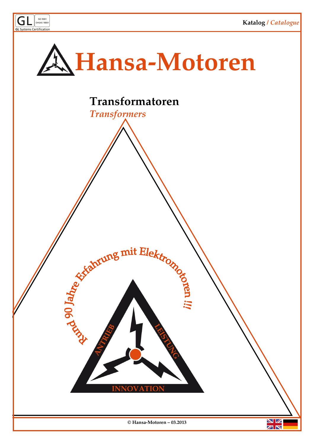

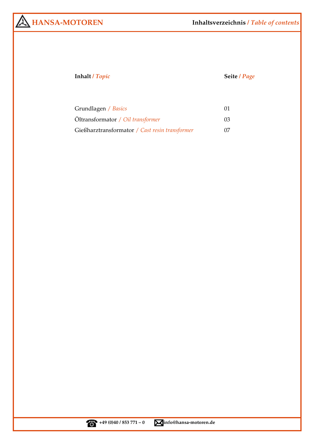## **Inhalt /** *Topic* **Seite /** *Page*

| Grundlagen / <i>Basics</i>                     |     |
|------------------------------------------------|-----|
| Oltransformator / Oil transformer              | 03. |
| Gießharztransformator / Cast resin transformer | 07  |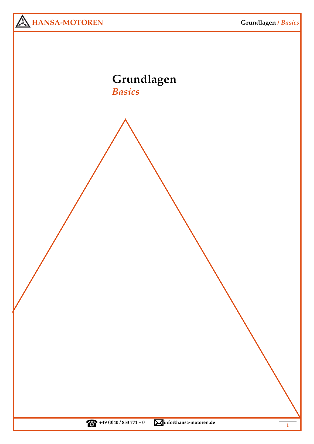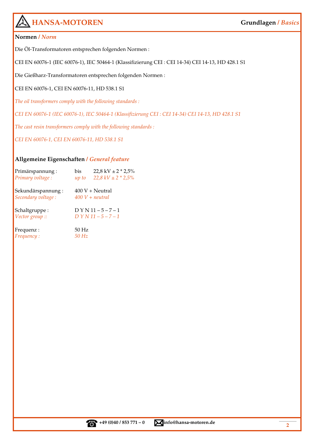# **HANSA-MOTOREN**

### **Grundlagen /** *Basics*

### **Normen /** *Norm*

Die Öl-Transformatoren entsprechen folgenden Normen :

CEI EN 60076-1 (IEC 60076-1), IEC 50464-1 (Klassifizierung CEI : CEI 14-34) CEI 14-13, HD 428.1 S1

Die Gießharz-Transformatoren entsprechen folgenden Normen :

CEI EN 60076-1, CEI EN 60076-11, HD 538.1 S1

*The oil transformers comply with the following standards :* 

*CEI EN 60076-1 (IEC 60076-1), IEC 50464-1 (Klassifizierung CEI : CEI 14-34) CEI 14-13, HD 428.1 S1* 

*The cast resin transformers comply with the following standards :* 

*CEI EN 60076-1, CEI EN 60076-11, HD 538.1 S1* 

### **Allgemeine Eigenschaften /** *General feature*

| Primärspannung:   | bis   | $22.8$ kV $\pm$ 2 $*$ 2.5% |
|-------------------|-------|----------------------------|
| Primary voltage : | up to | $22.8$ kV $\pm$ 2 $*$ 2.5% |

Sekundärspannung : 400 V + Neutral *Secondary voltage : 400 V + neutral*

Schaltgruppe :  $DYN11-5-7-1$ *Vector group :: D Y N 11 – 5 – 7 – 1*

Frequenz : 50 Hz *Frequency : 50 Hz*

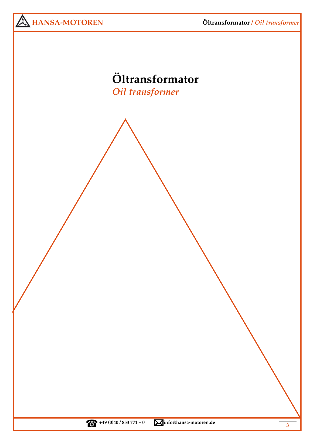**Öltransformator /** *Oil transformer*



# **Öltransformator**  *Oil transformer*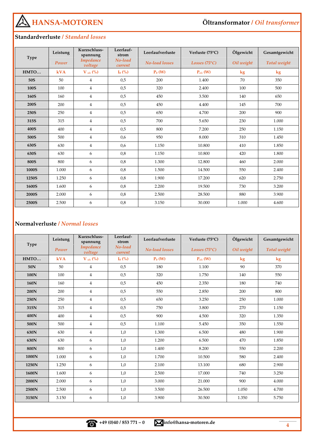**HANSA-MOTOREN** 

### **Standardverluste /** *Standard losses*

|             | Leistung   | Kurzschluss-<br>spannung    | Leerlauf-<br>strom | Leerlaufverluste      | Verluste (75°C)        | Ölgewicht     | Gesamtgewicht |
|-------------|------------|-----------------------------|--------------------|-----------------------|------------------------|---------------|---------------|
| <b>Type</b> | Power      | <b>Impedance</b><br>voltage | No-load<br>current | <b>No-load</b> losses | Losses $(75^{\circ}C)$ | Oil weight    | Total weight  |
| HMTO        | <b>kVA</b> | $V_{c/c}$ (%)               | $I_0$ (%)          | $P_0$ (W)             | $P_{c/c}$ (W)          | $\mathbf{kg}$ | $\mathbf{kg}$ |
| 50S         | 50         | $\overline{4}$              | 0,5                | 200                   | 1.400                  | 70            | 350           |
| 100S        | 100        | $\overline{4}$              | 0,5                | 320                   | 2.400                  | 100           | 500           |
| <b>160S</b> | 160        | $\overline{4}$              | 0,5                | 450                   | 3.500                  | 140           | 650           |
| <b>200S</b> | 200        | $\overline{4}$              | 0,5                | 450                   | 4.400                  | 145           | 700           |
| 250S        | 250        | $\overline{4}$              | 0,5                | 650                   | 4.700                  | 200           | 900           |
| 315S        | 315        | $\overline{4}$              | 0,5                | 700                   | 5.650                  | 230           | 1.000         |
| 400S        | 400        | $\overline{4}$              | 0,5                | 800                   | 7.200                  | 250           | 1.150         |
| 500S        | 500        | $\overline{4}$              | 0.6                | 950                   | 8.000                  | 310           | 1.450         |
| 630S        | 630        | $\overline{4}$              | 0.6                | 1.150                 | 10.800                 | 410           | 1.850         |
| 630S        | 630        | 6                           | 0,8                | 1.150                 | 10.800                 | 420           | 1.800         |
| <b>800S</b> | 800        | 6                           | 0,8                | 1.300                 | 12.800                 | 460           | 2.000         |
| 1000S       | 1.000      | 6                           | 0,8                | 1.500                 | 14.500                 | 550           | 2.400         |
| 1250S       | 1.250      | 6                           | 0,8                | 1.900                 | 17.200                 | 620           | 2.750         |
| 1600S       | 1.600      | 6                           | 0,8                | 2.200                 | 19.500                 | 730           | 3.200         |
| 2000S       | 2.000      | 6                           | 0,8                | 2.500                 | 28.500                 | 880           | 3.900         |
| 2500S       | 2.500      | 6                           | 0,8                | 3.150                 | 30.000                 | 1.000         | 4.600         |

### **Normalverluste /** *Normal losses*

|             | Leistung   | Kurzschluss-<br>spannung    | Leerlauf-<br>strom | Leerlaufverluste      | Verluste (75°C)        | Ölgewicht  | Gesamtgewicht |
|-------------|------------|-----------------------------|--------------------|-----------------------|------------------------|------------|---------------|
| <b>Type</b> | Power      | <b>Impedance</b><br>voltage | No-load<br>current | <b>No-load losses</b> | Losses $(75^{\circ}C)$ | Oil weight | Total weight  |
| HMTO        | <b>kVA</b> | $V_{c/c}$ (%)               | $I_0$ (%)          | $P_0$ (W)             | $P_{c/c}$ (W)          | kg         | $\mathbf{kg}$ |
| 50N         | 50         | 4                           | 0,5                | 180                   | 1.100                  | 90         | 370           |
| 100N        | 100        | $\overline{4}$              | 0,5                | 320                   | 1.750                  | 140        | 550           |
| 160N        | 160        | 4                           | 0,5                | 450                   | 2.350                  | 180        | 740           |
| 200N        | 200        | 4                           | 0,5                | 550                   | 2.850                  | 200        | 800           |
| 250N        | 250        | 4                           | 0,5                | 650                   | 3.250                  | 250        | 1.000         |
| 315N        | 315        | 4                           | 0,5                | 750                   | 3.800                  | 270        | 1.150         |
| 400N        | 400        | $\overline{4}$              | 0,5                | 900                   | 4.500                  | 320        | 1.350         |
| 500N        | 500        | $\overline{4}$              | 0,5                | 1.100                 | 5.450                  | 350        | 1.550         |
| 630N        | 630        | $\overline{4}$              | 1,0                | 1.300                 | 6.500                  | 480        | 1.900         |
| 630N        | 630        | 6                           | 1,0                | 1.200                 | 6.500                  | 470        | 1.850         |
| 800N        | 800        | 6                           | 1,0                | 1.400                 | 8.200                  | 550        | 2.200         |
| 1000N       | 1.000      | 6                           | 1,0                | 1.700                 | 10.500                 | 580        | 2.400         |
| 1250N       | 1.250      | 6                           | 1,0                | 2.100                 | 13.100                 | 680        | 2.900         |
| 1600N       | 1.600      | 6                           | 1,0                | 2.500                 | 17.000                 | 740        | 3.250         |
| 2000N       | 2.000      | 6                           | 1,0                | 3.000                 | 21.000                 | 900        | 4.000         |
| 2500N       | 2.500      | 6                           | 1,0                | 3.500                 | 26.500                 | 1.050      | 4.700         |
| 3150N       | 3.150      | 6                           | 1,0                | 3.900                 | 30.500                 | 1.350      | 5.750         |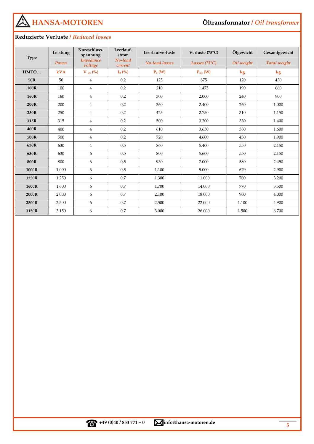

# **Öltransformator /** *Oil transformer*

# **Reduzierte Verluste /** *Reduced losses*

|             | Leistung | Kurzschluss-<br>spannung    | Leerlauf-<br>strom | Leerlaufverluste      | Verluste (75°C)        | Ölgewicht     | Gesamtgewicht |
|-------------|----------|-----------------------------|--------------------|-----------------------|------------------------|---------------|---------------|
| <b>Type</b> | Power    | <b>Impedance</b><br>voltage | No-load<br>current | <b>No-load losses</b> | Losses $(75^{\circ}C)$ | Oil weight    | Total weight  |
| HMTO        | kVA      | $V_{c/c}$ (%)               | $I_0$ (%)          | $P_0$ (W)             | $P_{c/c}$ (W)          | $\mathbf{kg}$ | $\mathbf{kg}$ |
| 50R         | 50       | $\overline{4}$              | 0,2                | 125                   | 875                    | 120           | 430           |
| 100R        | 100      | $\overline{4}$              | 0,2                | 210                   | 1.475                  | 190           | 660           |
| 160R        | 160      | $\overline{4}$              | 0,2                | 300                   | 2.000                  | 240           | 900           |
| 200R        | 200      | $\overline{4}$              | 0,2                | 360                   | 2.400                  | 260           | 1.000         |
| 250R        | 250      | $\overline{4}$              | 0,2                | 425                   | 2.750                  | 310           | 1.150         |
| 315R        | 315      | $\overline{4}$              | 0,2                | 500                   | 3.200                  | 330           | 1.400         |
| 400R        | 400      | $\overline{4}$              | 0,2                | 610                   | 3.650                  | 380           | 1.600         |
| 500R        | 500      | $\overline{4}$              | 0,2                | 720                   | 4.600                  | 430           | 1.900         |
| 630R        | 630      | $\overline{4}$              | 0.5                | 860                   | 5.400                  | 550           | 2.150         |
| 630R        | 630      | 6                           | 0,5                | 800                   | 5.600                  | 550           | 2.150         |
| <b>800R</b> | 800      | 6                           | 0,5                | 930                   | 7.000                  | 580           | 2.450         |
| 1000R       | 1.000    | 6                           | 0,5                | 1.100                 | 9.000                  | 670           | 2.900         |
| 1250R       | 1.250    | 6                           | 0.7                | 1.300                 | 11.000                 | 700           | 3.200         |
| 1600R       | 1.600    | 6                           | 0.7                | 1.700                 | 14.000                 | 770           | 3.500         |
| 2000R       | 2.000    | 6                           | 0,7                | 2.100                 | 18.000                 | 900           | 4.000         |
| 2500R       | 2.500    | 6                           | 0,7                | 2.500                 | 22.000                 | 1.100         | 4.900         |
| 3150R       | 3.150    | 6                           | 0,7                | 3.000                 | 26.000                 | 1.500         | 6.700         |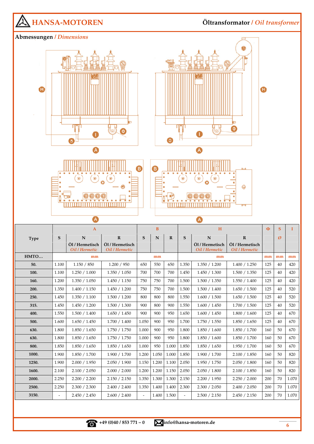

**+49 (0)40 / 853 771 – 0 info@hansa-motoren.de**

**6**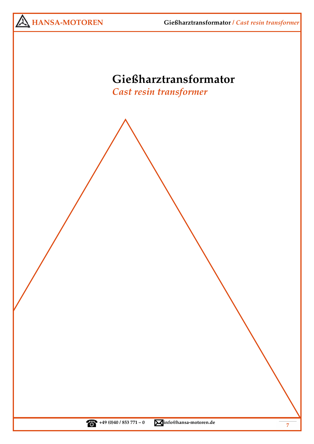**Gießharztransformator /** *Cast resin transformer*



# **Gießharztransformator**

*Cast resin transformer*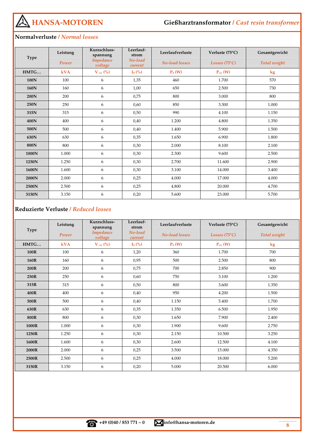**HANSA-MOTOREN** 

### **Normalverluste /** *Normal losses*

|             | Leistung   | Kurzschluss-<br>spannung    | Leerlauf-<br>strom | Leerlaufverluste | Verluste $(75^{\circ}C)$ | Gesamtgewicht |
|-------------|------------|-----------------------------|--------------------|------------------|--------------------------|---------------|
| <b>Type</b> | Power      | <b>Impedance</b><br>voltage | No-load<br>current | No-load losses   | Losses $(75^{\circ}C)$   | Total weight  |
| HMTG        | <b>kVA</b> | $V_{c/c}$ (%)               | $I_0$ (%)          | $P_0(W)$         | $P_{c/c}$ (W)            | $\mathbf{kg}$ |
| 100N        | 100        | 6                           | 1,35               | 460              | 1.700                    | 570           |
| 160N        | 160        | 6                           | 1,00               | 650              | 2.500                    | 730           |
| 200N        | 200        | 6                           | 0,75               | 800              | 3.000                    | 800           |
| 250N        | 250        | 6                           | 0,60               | 850              | 3.300                    | 1.000         |
| 315N        | 315        | 6                           | 0,50               | 990              | 4.100                    | 1.150         |
| 400N        | 400        | 6                           | 0,40               | 1.200            | 4.800                    | 1.350         |
| 500N        | 500        | 6                           | 0,40               | 1.400            | 5.900                    | 1.500         |
| 630N        | 630        | 6                           | 0,35               | 1.650            | 6.900                    | 1.800         |
| 800N        | 800        | 6                           | 0,30               | 2.000            | 8.100                    | 2.100         |
| 1000N       | 1.000      | 6                           | 0,30               | 2.300            | 9.600                    | 2.500         |
| 1250N       | 1.250      | 6                           | 0,30               | 2.700            | 11.600                   | 2.900         |
| 1600N       | 1.600      | 6                           | 0,30               | 3.100            | 14.000                   | 3.400         |
| 2000N       | 2.000      | 6                           | 0,25               | 4.000            | 17.000                   | 4.000         |
| 2500N       | 2.500      | 6                           | 0,25               | 4.800            | 20.000                   | 4.700         |
| 3150N       | 3.150      | 6                           | 0,20               | 5.600            | 23.000                   | 5.700         |

### **Reduzierte Verluste /** *Reduced losses*

|             | Leistung   | Kurzschluss-<br>spannung    | Leerlauf-<br>strom | Leerlaufverluste      | Verluste (75°C)        | Gesamtgewicht |
|-------------|------------|-----------------------------|--------------------|-----------------------|------------------------|---------------|
| <b>Type</b> | Power      | <b>Impedance</b><br>voltage | No-load<br>current | <b>No-load losses</b> | Losses $(75^{\circ}C)$ | Total weight  |
| HMTG        | <b>kVA</b> | $V_{c/c}$ (%)               | $I_0$ (%)          | $P_0(W)$              | $P_{c/c}$ (W)          | kg            |
| 100R        | 100        | 6                           | 1,20               | 360                   | 1.700                  | 700           |
| 160R        | 160        | 6                           | 0,95               | 500                   | 2.500                  | 800           |
| 200R        | 200        | 6                           | 0,75               | 700                   | 2.850                  | 900           |
| 250R        | 250        | 6                           | 0,60               | 750                   | 3.100                  | 1.200         |
| 315R        | 315        | 6                           | 0,50               | 800                   | 3.600                  | 1.350         |
| 400R        | 400        | 6                           | 0,40               | 950                   | 4.200                  | 1.500         |
| 500R        | 500        | 6                           | 0,40               | 1.150                 | 5.400                  | 1.700         |
| 630R        | 630        | 6                           | 0,35               | 1.350                 | 6.500                  | 1.950         |
| 800R        | 800        | 6                           | 0,30               | 1.650                 | 7.900                  | 2.400         |
| 1000R       | 1.000      | 6                           | 0,30               | 1.900                 | 9.600                  | 2.750         |
| 1250R       | 1.250      | 6                           | 0,30               | 2.150                 | 10.500                 | 3.250         |
| 1600R       | 1.600      | 6                           | 0,30               | 2.600                 | 12.500                 | 4.100         |
| 2000R       | 2.000      | 6                           | 0,25               | 3.500                 | 15.000                 | 4.350         |
| 2500R       | 2.500      | 6                           | 0,25               | 4.000                 | 18.000                 | 5.200         |
| 3150R       | 3.150      | 6                           | 0,20               | 5.000                 | 20.500                 | 6.000         |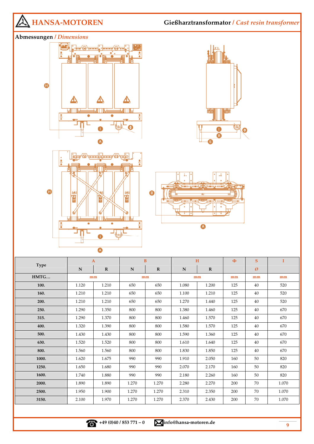

**1600.** 1.740 1.880 990 990 2.180 2.260 160 50 820 **2000.** 1.890 1.890 1.270 1.270 2.280 2.270 2.270 200 70 1.070 **2500.** 1.950 1.900 1.270 1.270 2.310 2.350 2.00 70 1.070 **3150.** 2.100 | 1.970 | 1.270 | 1.270 | 2.370 | 2.430 | 200 | 70 | 1.070